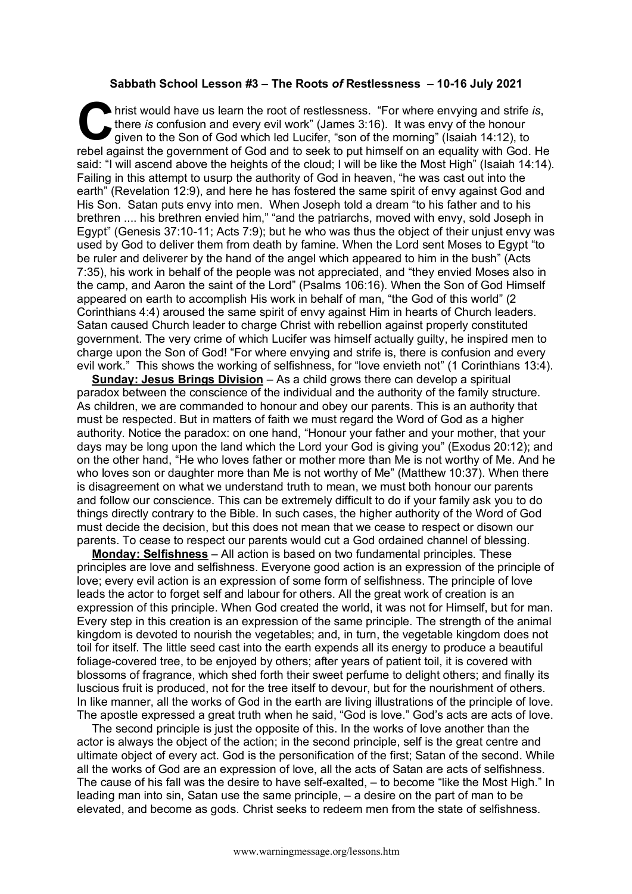## **Sabbath School Lesson #3 – The Roots** *of* **Restlessness – 10-16 July 2021**

hrist would have us learn the root of restlessness. "For where envying and strife *is*, there *is* confusion and every evil work" (James 3:16). It was envy of the honour given to the Son of God which led Lucifer, "son of the morning" (Isaiah 14:12), to It have us learn the root of restlessness. "For where envying and strife is, there is confusion and every evil work" (James 3:16). It was envy of the honour given to the Son of God which led Lucifer, "son of the morning" ( said: "I will ascend above the heights of the cloud; I will be like the Most High" (Isaiah 14:14). Failing in this attempt to usurp the authority of God in heaven, "he was cast out into the earth" (Revelation 12:9), and here he has fostered the same spirit of envy against God and His Son. Satan puts envy into men. When Joseph told a dream "to his father and to his brethren .... his brethren envied him," "and the patriarchs, moved with envy, sold Joseph in Egypt" (Genesis 37:10-11; Acts 7:9); but he who was thus the object of their unjust envy was used by God to deliver them from death by famine. When the Lord sent Moses to Egypt "to be ruler and deliverer by the hand of the angel which appeared to him in the bush" (Acts 7:35), his work in behalf of the people was not appreciated, and "they envied Moses also in the camp, and Aaron the saint of the Lord" (Psalms 106:16). When the Son of God Himself appeared on earth to accomplish His work in behalf of man, "the God of this world" (2 Corinthians 4:4) aroused the same spirit of envy against Him in hearts of Church leaders. Satan caused Church leader to charge Christ with rebellion against properly constituted government. The very crime of which Lucifer was himself actually guilty, he inspired men to charge upon the Son of God! "For where envying and strife is, there is confusion and every evil work." This shows the working of selfishness, for "love envieth not" (1 Corinthians 13:4).

**Sunday: Jesus Brings Division** – As a child grows there can develop a spiritual paradox between the conscience of the individual and the authority of the family structure. As children, we are commanded to honour and obey our parents. This is an authority that must be respected. But in matters of faith we must regard the Word of God as a higher authority. Notice the paradox: on one hand, "Honour your father and your mother, that your days may be long upon the land which the Lord your God is giving you" (Exodus 20:12); and on the other hand, "He who loves father or mother more than Me is not worthy of Me. And he who loves son or daughter more than Me is not worthy of Me" (Matthew 10:37). When there is disagreement on what we understand truth to mean, we must both honour our parents and follow our conscience. This can be extremely difficult to do if your family ask you to do things directly contrary to the Bible. In such cases, the higher authority of the Word of God must decide the decision, but this does not mean that we cease to respect or disown our parents. To cease to respect our parents would cut a God ordained channel of blessing.

**Monday: Selfishness** – All action is based on two fundamental principles. These principles are love and selfishness. Everyone good action is an expression of the principle of love; every evil action is an expression of some form of selfishness. The principle of love leads the actor to forget self and labour for others. All the great work of creation is an expression of this principle. When God created the world, it was not for Himself, but for man. Every step in this creation is an expression of the same principle. The strength of the animal kingdom is devoted to nourish the vegetables; and, in turn, the vegetable kingdom does not toil for itself. The little seed cast into the earth expends all its energy to produce a beautiful foliage-covered tree, to be enjoyed by others; after years of patient toil, it is covered with blossoms of fragrance, which shed forth their sweet perfume to delight others; and finally its luscious fruit is produced, not for the tree itself to devour, but for the nourishment of others. In like manner, all the works of God in the earth are living illustrations of the principle of love. The apostle expressed a great truth when he said, "God is love." God's acts are acts of love.

The second principle is just the opposite of this. In the works of love another than the actor is always the object of the action; in the second principle, self is the great centre and ultimate object of every act. God is the personification of the first; Satan of the second. While all the works of God are an expression of love, all the acts of Satan are acts of selfishness. The cause of his fall was the desire to have self-exalted, – to become "like the Most High." In leading man into sin, Satan use the same principle, – a desire on the part of man to be elevated, and become as gods. Christ seeks to redeem men from the state of selfishness.